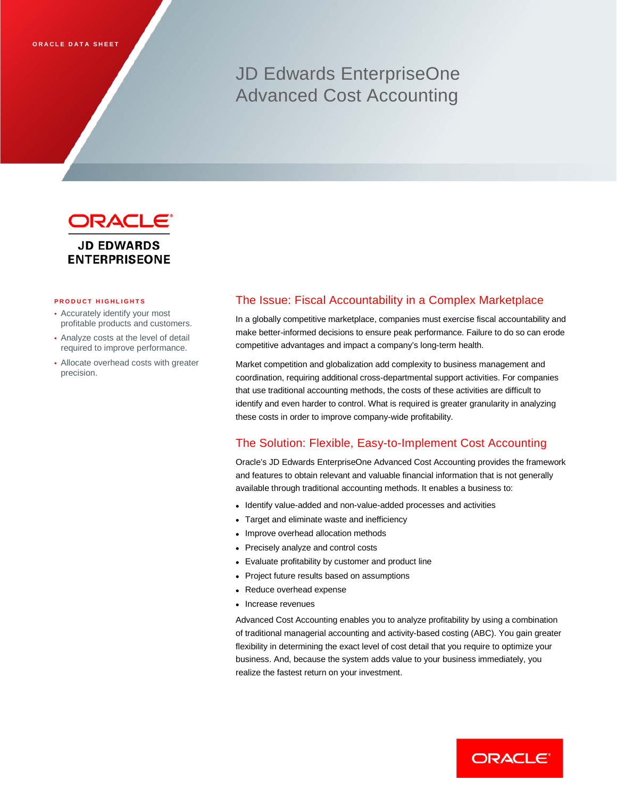# JD Edwards EnterpriseOne Advanced Cost Accounting



# **ENTERPRISEONE**

#### **PRODUCT HIGHLIGHTS**

- Accurately identify your most profitable products and customers.
- Analyze costs at the level of detail required to improve performance.
- Allocate overhead costs with greater precision.

### The Issue: Fiscal Accountability in a Complex Marketplace

In a globally competitive marketplace, companies must exercise fiscal accountability and make better-informed decisions to ensure peak performance. Failure to do so can erode competitive advantages and impact a company's long-term health.

Market competition and globalization add complexity to business management and coordination, requiring additional cross-departmental support activities. For companies that use traditional accounting methods, the costs of these activities are difficult to identify and even harder to control. What is required is greater granularity in analyzing these costs in order to improve company-wide profitability.

## The Solution: Flexible, Easy-to-Implement Cost Accounting

Oracle's JD Edwards EnterpriseOne Advanced Cost Accounting provides the framework and features to obtain relevant and valuable financial information that is not generally available through traditional accounting methods. It enables a business to:

- Identify value-added and non-value-added processes and activities
- Target and eliminate waste and inefficiency
- Improve overhead allocation methods
- Precisely analyze and control costs
- Evaluate profitability by customer and product line
- Project future results based on assumptions
- Reduce overhead expense
- Increase revenues

Advanced Cost Accounting enables you to analyze profitability by using a combination of traditional managerial accounting and activity-based costing (ABC). You gain greater flexibility in determining the exact level of cost detail that you require to optimize your business. And, because the system adds value to your business immediately, you realize the fastest return on your investment.

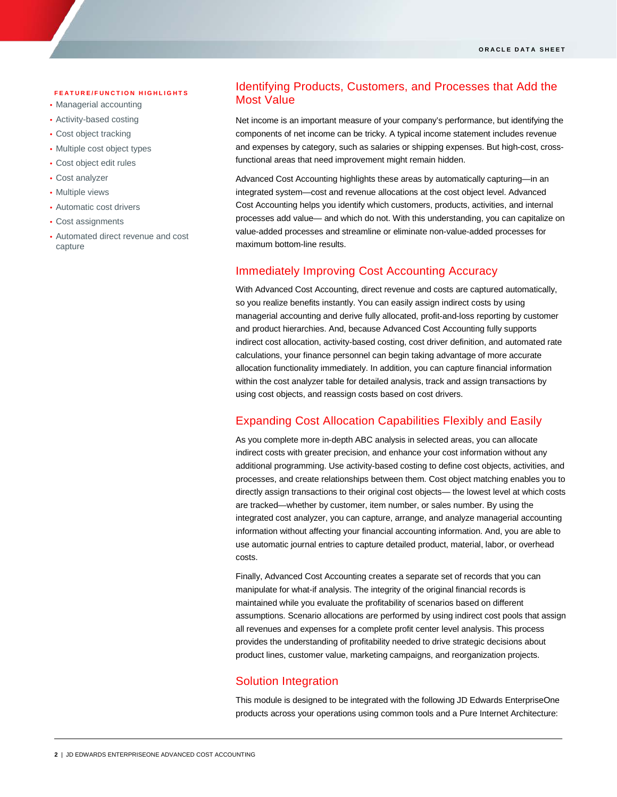#### **FEATURE/FUNCTION HIGHLIGHTS**

- Managerial accounting
- Activity-based costing
- Cost object tracking
- Multiple cost object types
- Cost object edit rules
- Cost analyzer

ī

- Multiple views
- Automatic cost drivers
- Cost assignments
- Automated direct revenue and cost capture

# Identifying Products, Customers, and Processes that Add the Most Value

Net income is an important measure of your company's performance, but identifying the components of net income can be tricky. A typical income statement includes revenue and expenses by category, such as salaries or shipping expenses. But high-cost, crossfunctional areas that need improvement might remain hidden.

Advanced Cost Accounting highlights these areas by automatically capturing—in an integrated system—cost and revenue allocations at the cost object level. Advanced Cost Accounting helps you identify which customers, products, activities, and internal processes add value— and which do not. With this understanding, you can capitalize on value-added processes and streamline or eliminate non-value-added processes for maximum bottom-line results.

## Immediately Improving Cost Accounting Accuracy

With Advanced Cost Accounting, direct revenue and costs are captured automatically, so you realize benefits instantly. You can easily assign indirect costs by using managerial accounting and derive fully allocated, profit-and-loss reporting by customer and product hierarchies. And, because Advanced Cost Accounting fully supports indirect cost allocation, activity-based costing, cost driver definition, and automated rate calculations, your finance personnel can begin taking advantage of more accurate allocation functionality immediately. In addition, you can capture financial information within the cost analyzer table for detailed analysis, track and assign transactions by using cost objects, and reassign costs based on cost drivers.

## Expanding Cost Allocation Capabilities Flexibly and Easily

As you complete more in-depth ABC analysis in selected areas, you can allocate indirect costs with greater precision, and enhance your cost information without any additional programming. Use activity-based costing to define cost objects, activities, and processes, and create relationships between them. Cost object matching enables you to directly assign transactions to their original cost objects— the lowest level at which costs are tracked—whether by customer, item number, or sales number. By using the integrated cost analyzer, you can capture, arrange, and analyze managerial accounting information without affecting your financial accounting information. And, you are able to use automatic journal entries to capture detailed product, material, labor, or overhead costs.

Finally, Advanced Cost Accounting creates a separate set of records that you can manipulate for what-if analysis. The integrity of the original financial records is maintained while you evaluate the profitability of scenarios based on different assumptions. Scenario allocations are performed by using indirect cost pools that assign all revenues and expenses for a complete profit center level analysis. This process provides the understanding of profitability needed to drive strategic decisions about product lines, customer value, marketing campaigns, and reorganization projects.

### Solution Integration

This module is designed to be integrated with the following JD Edwards EnterpriseOne products across your operations using common tools and a Pure Internet Architecture: